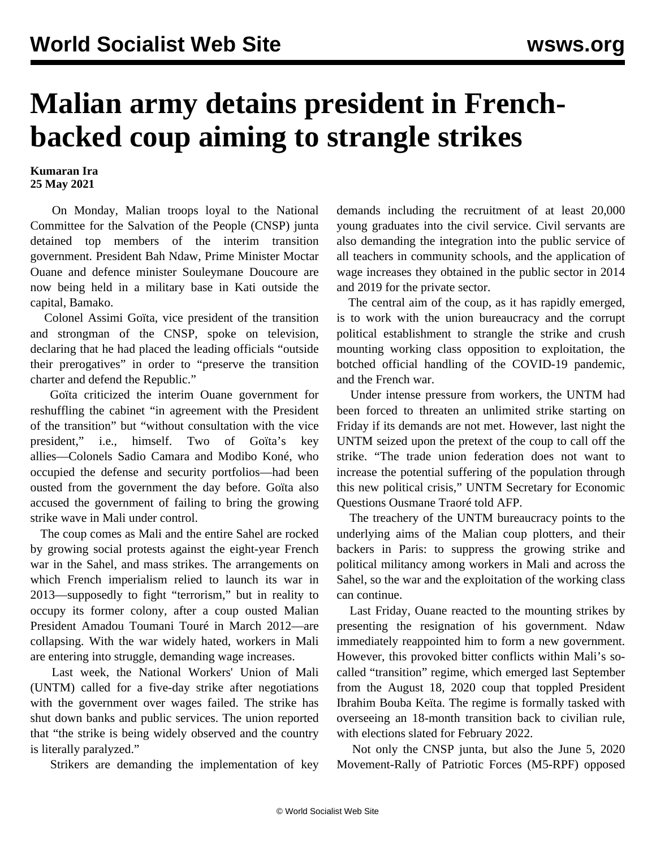## **Malian army detains president in Frenchbacked coup aiming to strangle strikes**

**Kumaran Ira 25 May 2021**

 On Monday, Malian troops loyal to the National Committee for the Salvation of the People (CNSP) junta detained top members of the interim transition government. President Bah Ndaw, Prime Minister Moctar Ouane and defence minister Souleymane Doucoure are now being held in a military base in Kati outside the capital, Bamako.

 Colonel Assimi Goïta, vice president of the transition and strongman of the CNSP, spoke on television, declaring that he had placed the leading officials "outside their prerogatives" in order to "preserve the transition charter and defend the Republic."

 Goïta criticized the interim Ouane government for reshuffling the cabinet "in agreement with the President of the transition" but "without consultation with the vice president," i.e., himself. Two of Goïta's key allies—Colonels Sadio Camara and Modibo Koné, who occupied the defense and security portfolios—had been ousted from the government the day before. Goïta also accused the government of failing to bring the growing strike wave in Mali under control.

 The coup comes as Mali and the entire Sahel are rocked by growing social protests against the eight-year French war in the Sahel, and mass strikes. The arrangements on which French imperialism relied to launch its war in 2013—supposedly to fight "terrorism," but in reality to occupy its former colony, after a coup ousted Malian President Amadou Toumani Touré in March 2012—are collapsing. With the war widely hated, workers in Mali are entering into struggle, demanding wage increases.

 Last week, the National Workers' Union of Mali (UNTM) called for a five-day strike after negotiations with the government over wages failed. The strike has shut down banks and public services. The union reported that "the strike is being widely observed and the country is literally paralyzed."

Strikers are demanding the implementation of key

demands including the recruitment of at least 20,000 young graduates into the civil service. Civil servants are also demanding the integration into the public service of all teachers in community schools, and the application of wage increases they obtained in the public sector in 2014 and 2019 for the private sector.

 The central aim of the coup, as it has rapidly emerged, is to work with the union bureaucracy and the corrupt political establishment to strangle the strike and crush mounting working class opposition to exploitation, the botched official handling of the COVID-19 pandemic, and the French war.

 Under intense pressure from workers, the UNTM had been forced to threaten an unlimited strike starting on Friday if its demands are not met. However, last night the UNTM seized upon the pretext of the coup to call off the strike. "The trade union federation does not want to increase the potential suffering of the population through this new political crisis," UNTM Secretary for Economic Questions Ousmane Traoré told AFP.

 The treachery of the UNTM bureaucracy points to the underlying aims of the Malian coup plotters, and their backers in Paris: to suppress the growing strike and political militancy among workers in Mali and across the Sahel, so the war and the exploitation of the working class can continue.

 Last Friday, Ouane reacted to the mounting strikes by presenting the resignation of his government. Ndaw immediately reappointed him to form a new government. However, this provoked bitter conflicts within Mali's socalled "transition" regime, which emerged last September from the August 18, 2020 coup that toppled President Ibrahim Bouba Keïta. The regime is formally tasked with overseeing an 18-month transition back to civilian rule, with elections slated for February 2022.

 Not only the CNSP junta, but also the June 5, 2020 Movement-Rally of Patriotic Forces (M5-RPF) opposed